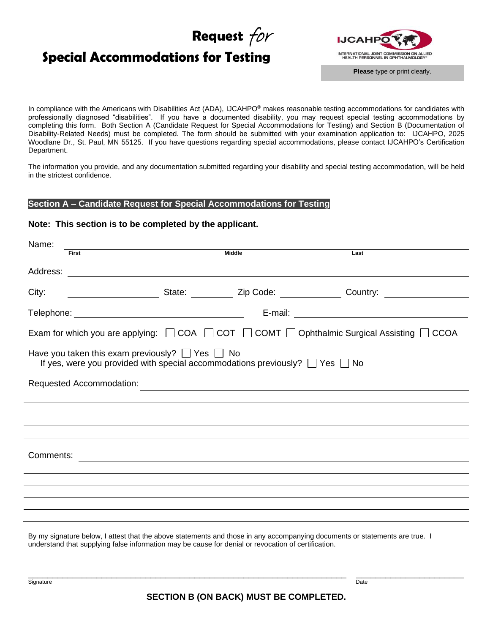# **Request** for

# **Special Accommodations for Testing**



In compliance with the Americans with Disabilities Act (ADA), IJCAHPO® makes reasonable testing accommodations for candidates with professionally diagnosed "disabilities". If you have a documented disability, you may request special testing accommodations by completing this form. Both Section A (Candidate Request for Special Accommodations for Testing) and Section B (Documentation of Disability-Related Needs) must be completed. The form should be submitted with your examination application to: IJCAHPO, 2025 Woodlane Dr., St. Paul, MN 55125. If you have questions regarding special accommodations, please contact IJCAHPO's Certification Department.

The information you provide, and any documentation submitted regarding your disability and special testing accommodation, will be held in the strictest confidence.

#### **Section A – Candidate Request for Special Accommodations for Testing**

#### **Note: This section is to be completed by the applicant.**

| Name:     |                                                                                                                                                     |               |      |  |
|-----------|-----------------------------------------------------------------------------------------------------------------------------------------------------|---------------|------|--|
|           | <b>First</b>                                                                                                                                        | <b>Middle</b> | Last |  |
| Address:  |                                                                                                                                                     |               |      |  |
| City:     | __________________________State: ____________ Zip Code: _________________Country: __________________                                                |               |      |  |
|           |                                                                                                                                                     |               |      |  |
|           | Exam for which you are applying: $\Box$ COA $\Box$ COT $\Box$ COMT $\Box$ Ophthalmic Surgical Assisting $\Box$ CCOA                                 |               |      |  |
|           | Have you taken this exam previously? $\Box$ Yes $\Box$ No<br>If yes, were you provided with special accommodations previously? $\Box$ Yes $\Box$ No |               |      |  |
|           | Requested Accommodation:                                                                                                                            |               |      |  |
|           |                                                                                                                                                     |               |      |  |
|           |                                                                                                                                                     |               |      |  |
|           |                                                                                                                                                     |               |      |  |
|           |                                                                                                                                                     |               |      |  |
|           |                                                                                                                                                     |               |      |  |
| Comments: |                                                                                                                                                     |               |      |  |
|           |                                                                                                                                                     |               |      |  |
|           |                                                                                                                                                     |               |      |  |
|           |                                                                                                                                                     |               |      |  |
|           |                                                                                                                                                     |               |      |  |
|           |                                                                                                                                                     |               |      |  |
|           | December 2002 below the contract that the change contract and the contract of concernsive discussed to abeten categories and the                    |               |      |  |

By my signature below, I attest that the above statements and those in any accompanying documents or statements are true. I understand that supplying false information may be cause for denial or revocation of certification.

strature that the contract of the contract of the contract of the contract of the contract of the contract of the contract of the contract of the contract of the contract of the contract of the contract of the contract of

\_\_\_\_\_\_\_\_\_\_\_\_\_\_\_\_\_\_\_\_\_\_\_\_\_\_\_\_\_\_\_\_\_\_\_\_\_\_\_\_\_\_\_\_\_\_\_\_\_\_\_\_\_\_\_\_\_\_\_\_\_\_\_\_\_ \_\_\_\_\_\_\_\_\_\_\_\_\_\_\_\_\_\_\_\_\_\_